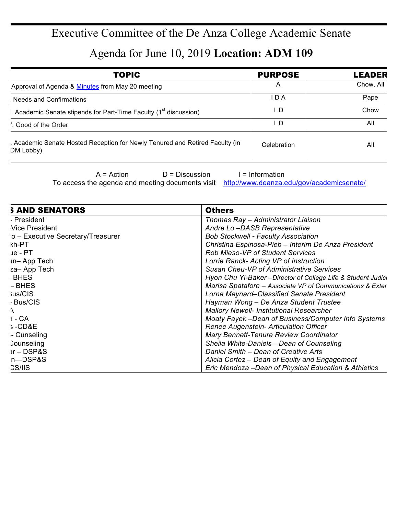## Executive Committee of the De Anza College Academic Senate

Agenda for June 10, 2019 **Location: ADM 109**

| <b>TOPIC</b>                                                                              | <b>PURPOSE</b> | <b>LEADER</b> |
|-------------------------------------------------------------------------------------------|----------------|---------------|
| Approval of Agenda & Minutes from May 20 meeting                                          | A              | Chow, All     |
| Needs and Confirmations                                                                   | I D A          | Pape          |
| . Academic Senate stipends for Part-Time Faculty (1 <sup>st</sup> discussion)             | - D            | Chow          |
| . Good of the Order                                                                       | . D            | All           |
| . Academic Senate Hosted Reception for Newly Tenured and Retired Faculty (in<br>DM Lobby) | Celebration    | All           |

 $A = Action$   $D = Discussion$  I = Information

To access the agenda and meeting documents visit http://www.deanza.edu/gov/academicsenate/

| <b>S AND SENATORS</b>             | <b>Others</b>                                                 |
|-----------------------------------|---------------------------------------------------------------|
| - President                       | Thomas Ray – Administrator Liaison                            |
| <b>Vice President</b>             | Andre Lo-DASB Representative                                  |
| o - Executive Secretary/Treasurer | <b>Bob Stockwell - Faculty Association</b>                    |
| kh-PT                             | Christina Espinosa-Pieb - Interim De Anza President           |
| ue - PT                           | <b>Rob Mieso-VP of Student Services</b>                       |
| <b>in-App Tech</b>                | Lorrie Ranck- Acting VP of Instruction                        |
| za-App Tech                       | Susan Cheu-VP of Administrative Services                      |
| BHES                              | Hyon Chu Yi-Baker - Director of College Life & Student Judici |
| - BHES                            | Marisa Spatafore - Associate VP of Communications & Exter     |
| <b>Jus/CIS</b>                    | Lorna Maynard-Classified Senate President                     |
| - Bus/CIS                         | Hayman Wong - De Anza Student Trustee                         |
|                                   | <b>Mallory Newell- Institutional Researcher</b>               |
| າ - CA                            | Moaty Fayek-Dean of Business/Computer Info Systems            |
| s-CD&E                            | Renee Augenstein- Articulation Officer                        |
| - Cunseling                       | Mary Bennett-Tenure Review Coordinator                        |
| Counseling                        | Sheila White-Daniels-Dean of Counseling                       |
| $ar - DSP & S$                    | Daniel Smith - Dean of Creative Arts                          |
| n-DSP&S                           | Alicia Cortez - Dean of Equity and Engagement                 |
| <b>CS/IIS</b>                     | Eric Mendoza - Dean of Physical Education & Athletics         |